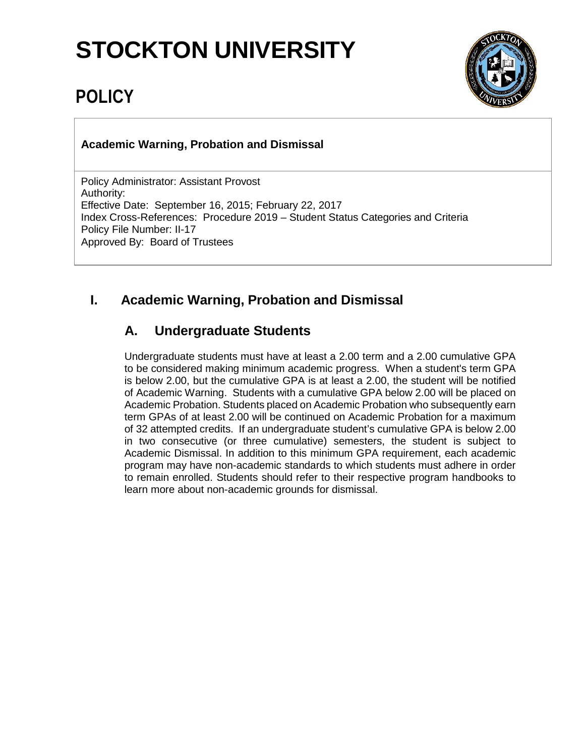# **STOCKTON UNIVERSITY**

## **POLICY**



**Academic Warning, Probation and Dismissal**

Policy Administrator: Assistant Provost Authority: Effective Date: September 16, 2015; February 22, 2017 Index Cross-References: Procedure 2019 – Student Status Categories and Criteria Policy File Number: II-17 Approved By: Board of Trustees

### **I. Academic Warning, Probation and Dismissal**

### **A. Undergraduate Students**

Undergraduate students must have at least a 2.00 term and a 2.00 cumulative GPA to be considered making minimum academic progress. When a student's term GPA is below 2.00, but the cumulative GPA is at least a 2.00, the student will be notified of Academic Warning. Students with a cumulative GPA below 2.00 will be placed on Academic Probation. Students placed on Academic Probation who subsequently earn term GPAs of at least 2.00 will be continued on Academic Probation for a maximum of 32 attempted credits. If an undergraduate student's cumulative GPA is below 2.00 in two consecutive (or three cumulative) semesters, the student is subject to Academic Dismissal. In addition to this minimum GPA requirement, each academic program may have non-academic standards to which students must adhere in order to remain enrolled. Students should refer to their respective program handbooks to learn more about non-academic grounds for dismissal.